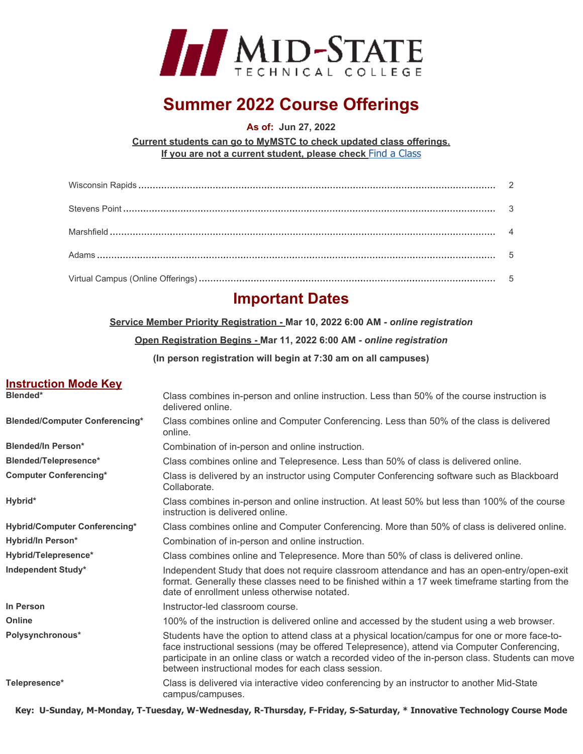

# **Summer 2022 Course Offerings**

**As of: Jun 27, 2022** 

**Current students can go to MyMSTC to check updated class offerings. If you are not a current student, please check** [Find a Class](https://courses.mstc.edu/)

# **Important Dates**

**Service Member Priority Registration - Mar 10, 2022 6:00 AM** *- online registration* 

#### **Open Registration Begins - Mar 11, 2022 6:00 AM** *- online registration*

**(In person registration will begin at 7:30 am on all campuses)** 

#### **Instruction Mode Key**

| Blended*                              | Class combines in-person and online instruction. Less than 50% of the course instruction is<br>delivered online.                                                                                                                                                                                                                                             |
|---------------------------------------|--------------------------------------------------------------------------------------------------------------------------------------------------------------------------------------------------------------------------------------------------------------------------------------------------------------------------------------------------------------|
| <b>Blended/Computer Conferencing*</b> | Class combines online and Computer Conferencing. Less than 50% of the class is delivered<br>online.                                                                                                                                                                                                                                                          |
| <b>Blended/In Person*</b>             | Combination of in-person and online instruction.                                                                                                                                                                                                                                                                                                             |
| Blended/Telepresence*                 | Class combines online and Telepresence. Less than 50% of class is delivered online.                                                                                                                                                                                                                                                                          |
| <b>Computer Conferencing*</b>         | Class is delivered by an instructor using Computer Conferencing software such as Blackboard<br>Collaborate.                                                                                                                                                                                                                                                  |
| Hybrid*                               | Class combines in-person and online instruction. At least 50% but less than 100% of the course<br>instruction is delivered online.                                                                                                                                                                                                                           |
| <b>Hybrid/Computer Conferencing*</b>  | Class combines online and Computer Conferencing. More than 50% of class is delivered online.                                                                                                                                                                                                                                                                 |
| Hybrid/In Person*                     | Combination of in-person and online instruction.                                                                                                                                                                                                                                                                                                             |
| Hybrid/Telepresence*                  | Class combines online and Telepresence. More than 50% of class is delivered online.                                                                                                                                                                                                                                                                          |
| <b>Independent Study*</b>             | Independent Study that does not require classroom attendance and has an open-entry/open-exit<br>format. Generally these classes need to be finished within a 17 week timeframe starting from the<br>date of enrollment unless otherwise notated.                                                                                                             |
| In Person                             | Instructor-led classroom course.                                                                                                                                                                                                                                                                                                                             |
| <b>Online</b>                         | 100% of the instruction is delivered online and accessed by the student using a web browser.                                                                                                                                                                                                                                                                 |
| Polysynchronous*                      | Students have the option to attend class at a physical location/campus for one or more face-to-<br>face instructional sessions (may be offered Telepresence), attend via Computer Conferencing,<br>participate in an online class or watch a recorded video of the in-person class. Students can move<br>between instructional modes for each class session. |
| Telepresence*                         | Class is delivered via interactive video conferencing by an instructor to another Mid-State<br>campus/campuses.                                                                                                                                                                                                                                              |

**Key: U-Sunday, M-Monday, T-Tuesday, W-Wednesday, R-Thursday, F-Friday, S-Saturday, \* Innovative Technology Course Mode**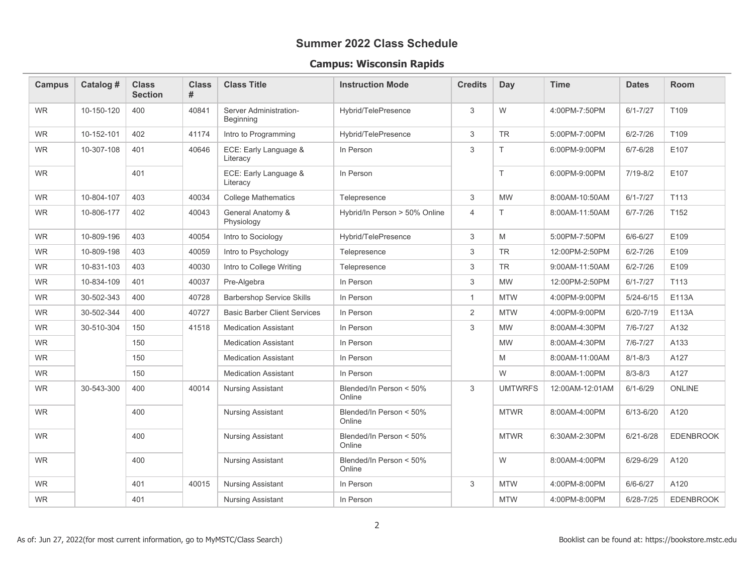#### **Campus: Wisconsin Rapids**

<span id="page-1-0"></span>

| <b>Campus</b> | Catalog #  | <b>Class</b><br><b>Section</b> | <b>Class</b><br># | <b>Class Title</b>                  | <b>Instruction Mode</b>           | <b>Credits</b>            | Day            | <b>Time</b>     | <b>Dates</b>  | Room             |
|---------------|------------|--------------------------------|-------------------|-------------------------------------|-----------------------------------|---------------------------|----------------|-----------------|---------------|------------------|
| <b>WR</b>     | 10-150-120 | 400                            | 40841             | Server Administration-<br>Beginning | Hybrid/TelePresence               | 3                         | W              | 4:00PM-7:50PM   | $6/1 - 7/27$  | T109             |
| <b>WR</b>     | 10-152-101 | 402                            | 41174             | Intro to Programming                | Hybrid/TelePresence               | 3                         | <b>TR</b>      | 5:00PM-7:00PM   | $6/2 - 7/26$  | T109             |
| <b>WR</b>     | 10-307-108 | 401                            | 40646             | ECE: Early Language &<br>Literacy   | In Person                         | 3                         | T.             | 6:00PM-9:00PM   | $6/7 - 6/28$  | E107             |
| <b>WR</b>     |            | 401                            |                   | ECE: Early Language &<br>Literacy   | In Person                         |                           | T.             | 6:00PM-9:00PM   | $7/19 - 8/2$  | E107             |
| <b>WR</b>     | 10-804-107 | 403                            | 40034             | <b>College Mathematics</b>          | Telepresence                      | 3                         | <b>MW</b>      | 8:00AM-10:50AM  | $6/1 - 7/27$  | T113             |
| <b>WR</b>     | 10-806-177 | 402                            | 40043             | General Anatomy &<br>Physiology     | Hybrid/In Person > 50% Online     | $\overline{4}$            | T.             | 8:00AM-11:50AM  | $6/7 - 7/26$  | T <sub>152</sub> |
| <b>WR</b>     | 10-809-196 | 403                            | 40054             | Intro to Sociology                  | Hybrid/TelePresence               | $\ensuremath{\mathsf{3}}$ | M              | 5:00PM-7:50PM   | $6/6 - 6/27$  | E109             |
| <b>WR</b>     | 10-809-198 | 403                            | 40059             | Intro to Psychology                 | Telepresence                      | 3                         | <b>TR</b>      | 12:00PM-2:50PM  | $6/2 - 7/26$  | E109             |
| <b>WR</b>     | 10-831-103 | 403                            | 40030             | Intro to College Writing            | Telepresence                      | 3                         | <b>TR</b>      | 9:00AM-11:50AM  | $6/2 - 7/26$  | E109             |
| <b>WR</b>     | 10-834-109 | 401                            | 40037             | Pre-Algebra                         | In Person                         | 3                         | <b>MW</b>      | 12:00PM-2:50PM  | $6/1 - 7/27$  | T <sub>113</sub> |
| <b>WR</b>     | 30-502-343 | 400                            | 40728             | <b>Barbershop Service Skills</b>    | In Person                         | $\mathbf{1}$              | <b>MTW</b>     | 4:00PM-9:00PM   | $5/24 - 6/15$ | E113A            |
| <b>WR</b>     | 30-502-344 | 400                            | 40727             | <b>Basic Barber Client Services</b> | In Person                         | $\overline{2}$            | <b>MTW</b>     | 4:00PM-9:00PM   | 6/20-7/19     | E113A            |
| <b>WR</b>     | 30-510-304 | 150                            | 41518             | <b>Medication Assistant</b>         | In Person                         | 3                         | <b>MW</b>      | 8:00AM-4:30PM   | 7/6-7/27      | A132             |
| <b>WR</b>     |            | 150                            |                   | <b>Medication Assistant</b>         | In Person                         |                           | <b>MW</b>      | 8:00AM-4:30PM   | $7/6 - 7/27$  | A133             |
| <b>WR</b>     |            | 150                            |                   | <b>Medication Assistant</b>         | In Person                         |                           | M              | 8:00AM-11:00AM  | $8/1 - 8/3$   | A127             |
| <b>WR</b>     |            | 150                            |                   | <b>Medication Assistant</b>         | In Person                         |                           | W              | 8:00AM-1:00PM   | $8/3 - 8/3$   | A127             |
| <b>WR</b>     | 30-543-300 | 400                            | 40014             | <b>Nursing Assistant</b>            | Blended/In Person < 50%<br>Online | 3                         | <b>UMTWRFS</b> | 12:00AM-12:01AM | $6/1 - 6/29$  | <b>ONLINE</b>    |
| <b>WR</b>     |            | 400                            |                   | <b>Nursing Assistant</b>            | Blended/In Person < 50%<br>Online |                           | <b>MTWR</b>    | 8:00AM-4:00PM   | $6/13 - 6/20$ | A120             |
| <b>WR</b>     |            | 400                            |                   | <b>Nursing Assistant</b>            | Blended/In Person < 50%<br>Online |                           | <b>MTWR</b>    | 6:30AM-2:30PM   | $6/21 - 6/28$ | <b>EDENBROOK</b> |
| <b>WR</b>     |            | 400                            |                   | <b>Nursing Assistant</b>            | Blended/In Person < 50%<br>Online |                           | W              | 8:00AM-4:00PM   | 6/29-6/29     | A120             |
| <b>WR</b>     |            | 401                            | 40015             | <b>Nursing Assistant</b>            | In Person                         | 3                         | <b>MTW</b>     | 4:00PM-8:00PM   | $6/6 - 6/27$  | A120             |
| <b>WR</b>     |            | 401                            |                   | <b>Nursing Assistant</b>            | In Person                         |                           | <b>MTW</b>     | 4:00PM-8:00PM   | 6/28-7/25     | <b>EDENBROOK</b> |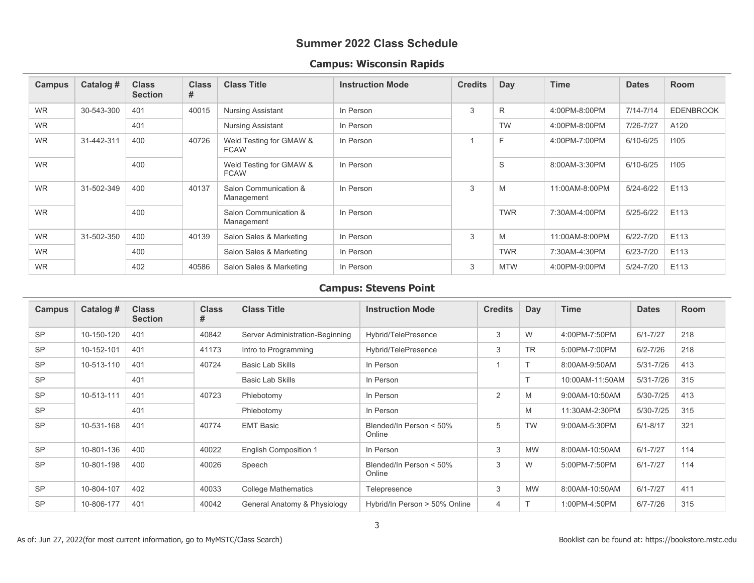#### **Campus: Wisconsin Rapids**

| <b>Campus</b> | Catalog #  | <b>Class</b><br><b>Section</b> | <b>Class</b><br># | <b>Class Title</b>                     | <b>Instruction Mode</b> | <b>Credits</b> | Day        | <b>Time</b>    | <b>Dates</b>  | <b>Room</b>      |
|---------------|------------|--------------------------------|-------------------|----------------------------------------|-------------------------|----------------|------------|----------------|---------------|------------------|
| <b>WR</b>     | 30-543-300 | 401                            | 40015             | <b>Nursing Assistant</b>               | In Person               | 3              | R          | 4:00PM-8:00PM  | $7/14 - 7/14$ | <b>EDENBROOK</b> |
| <b>WR</b>     |            | 401                            |                   | <b>Nursing Assistant</b>               | In Person               |                | <b>TW</b>  | 4:00PM-8:00PM  | 7/26-7/27     | A120             |
| <b>WR</b>     | 31-442-311 | 400                            | 40726             | Weld Testing for GMAW &<br><b>FCAW</b> | In Person               |                | F          | 4:00PM-7:00PM  | $6/10 - 6/25$ | 1105             |
| <b>WR</b>     |            | 400                            |                   | Weld Testing for GMAW &<br><b>FCAW</b> | In Person               |                | S          | 8:00AM-3:30PM  | 6/10-6/25     | 1105             |
| <b>WR</b>     | 31-502-349 | 400                            | 40137             | Salon Communication &<br>Management    | In Person               | 3              | M          | 11:00AM-8:00PM | 5/24-6/22     | E113             |
| <b>WR</b>     |            | 400                            |                   | Salon Communication &<br>Management    | In Person               |                | <b>TWR</b> | 7:30AM-4:00PM  | $5/25 - 6/22$ | E113             |
| <b>WR</b>     | 31-502-350 | 400                            | 40139             | Salon Sales & Marketing                | In Person               | 3              | M          | 11:00AM-8:00PM | $6/22 - 7/20$ | E113             |
| <b>WR</b>     |            | 400                            |                   | Salon Sales & Marketing                | In Person               |                | <b>TWR</b> | 7:30AM-4:30PM  | $6/23 - 7/20$ | E113             |
| <b>WR</b>     |            | 402                            | 40586             | Salon Sales & Marketing                | In Person               | 3              | <b>MTW</b> | 4:00PM-9:00PM  | 5/24-7/20     | E113             |

#### **Campus: Stevens Point**

<span id="page-2-0"></span>

| <b>Campus</b> | Catalog #  | <b>Class</b><br><b>Section</b> | <b>Class</b><br># | <b>Class Title</b>              | <b>Instruction Mode</b>           | <b>Credits</b> | <b>Day</b> | <b>Time</b>     | <b>Dates</b>  | Room |
|---------------|------------|--------------------------------|-------------------|---------------------------------|-----------------------------------|----------------|------------|-----------------|---------------|------|
| <b>SP</b>     | 10-150-120 | 401                            | 40842             | Server Administration-Beginning | Hybrid/TelePresence               | 3              | W          | 4:00PM-7:50PM   | $6/1 - 7/27$  | 218  |
| <b>SP</b>     | 10-152-101 | 401                            | 41173             | Intro to Programming            | Hybrid/TelePresence               | 3              | <b>TR</b>  | 5:00PM-7:00PM   | $6/2 - 7/26$  | 218  |
| <b>SP</b>     | 10-513-110 | 401                            | 40724             | <b>Basic Lab Skills</b>         | In Person                         |                |            | 8:00AM-9:50AM   | 5/31-7/26     | 413  |
| <b>SP</b>     |            | 401                            |                   | <b>Basic Lab Skills</b>         | In Person                         |                | $\mathbf$  | 10:00AM-11:50AM | $5/31 - 7/26$ | 315  |
| <b>SP</b>     | 10-513-111 | 401                            | 40723             | Phlebotomy                      | In Person                         | 2              | M          | 9:00AM-10:50AM  | 5/30-7/25     | 413  |
| <b>SP</b>     |            | 401                            |                   | Phlebotomy                      | In Person                         |                | M          | 11:30AM-2:30PM  | 5/30-7/25     | 315  |
| <b>SP</b>     | 10-531-168 | 401                            | 40774             | <b>EMT Basic</b>                | Blended/In Person < 50%<br>Online | 5              | <b>TW</b>  | 9:00AM-5:30PM   | $6/1 - 8/17$  | 321  |
| <b>SP</b>     | 10-801-136 | 400                            | 40022             | <b>English Composition 1</b>    | In Person                         | 3              | <b>MW</b>  | 8:00AM-10:50AM  | $6/1 - 7/27$  | 114  |
| <b>SP</b>     | 10-801-198 | 400                            | 40026             | Speech                          | Blended/In Person < 50%<br>Online | 3              | W          | 5:00PM-7:50PM   | $6/1 - 7/27$  | 114  |
| <b>SP</b>     | 10-804-107 | 402                            | 40033             | <b>College Mathematics</b>      | Telepresence                      | 3              | <b>MW</b>  | 8:00AM-10:50AM  | $6/1 - 7/27$  | 411  |
| <b>SP</b>     | 10-806-177 | 401                            | 40042             | General Anatomy & Physiology    | Hybrid/In Person > 50% Online     | $\overline{4}$ |            | 1:00PM-4:50PM   | 6/7-7/26      | 315  |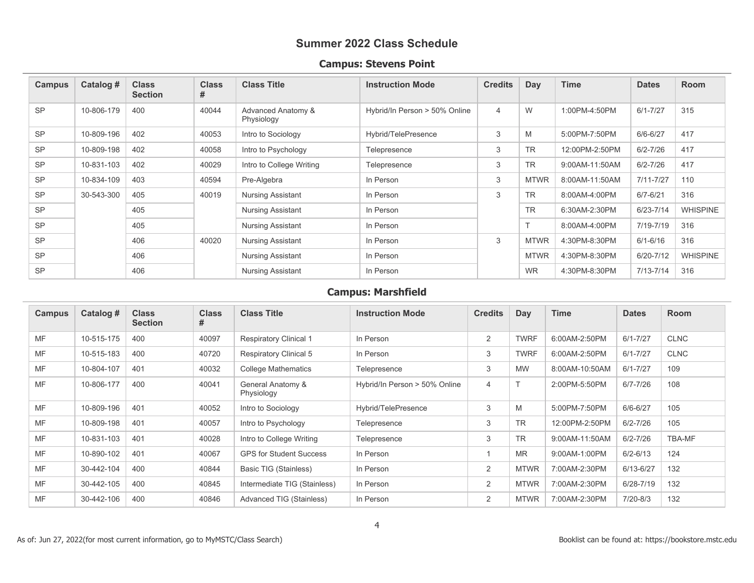#### **Campus: Stevens Point**

| <b>Campus</b> | Catalog #  | <b>Class</b><br><b>Section</b> | <b>Class</b><br># | <b>Class Title</b>               | <b>Instruction Mode</b>       | <b>Credits</b> | Day             | <b>Time</b>    | <b>Dates</b>  | <b>Room</b>     |
|---------------|------------|--------------------------------|-------------------|----------------------------------|-------------------------------|----------------|-----------------|----------------|---------------|-----------------|
| <b>SP</b>     | 10-806-179 | 400                            | 40044             | Advanced Anatomy &<br>Physiology | Hybrid/In Person > 50% Online | $\overline{4}$ | W               | 1:00PM-4:50PM  | $6/1 - 7/27$  | 315             |
| <b>SP</b>     | 10-809-196 | 402                            | 40053             | Intro to Sociology               | Hybrid/TelePresence           | 3              | M               | 5:00PM-7:50PM  | $6/6 - 6/27$  | 417             |
| <b>SP</b>     | 10-809-198 | 402                            | 40058             | Intro to Psychology              | Telepresence                  | 3              | <b>TR</b>       | 12:00PM-2:50PM | $6/2 - 7/26$  | 417             |
| <b>SP</b>     | 10-831-103 | 402                            | 40029             | Intro to College Writing         | Telepresence                  | 3              | <b>TR</b>       | 9:00AM-11:50AM | $6/2 - 7/26$  | 417             |
| <b>SP</b>     | 10-834-109 | 403                            | 40594             | Pre-Algebra                      | In Person                     | 3              | <b>MTWR</b>     | 8:00AM-11:50AM | $7/11 - 7/27$ | 110             |
| <b>SP</b>     | 30-543-300 | 405                            | 40019             | <b>Nursing Assistant</b>         | In Person                     | 3              | <b>TR</b>       | 8:00AM-4:00PM  | $6/7 - 6/21$  | 316             |
| <b>SP</b>     |            | 405                            |                   | <b>Nursing Assistant</b>         | In Person                     |                | <b>TR</b>       | 6:30AM-2:30PM  | $6/23 - 7/14$ | <b>WHISPINE</b> |
| <b>SP</b>     |            | 405                            |                   | <b>Nursing Assistant</b>         | In Person                     |                | $\mathbf{\tau}$ | 8:00AM-4:00PM  | 7/19-7/19     | 316             |
| <b>SP</b>     |            | 406                            | 40020             | <b>Nursing Assistant</b>         | In Person                     | 3              | <b>MTWR</b>     | 4:30PM-8:30PM  | $6/1 - 6/16$  | 316             |
| <b>SP</b>     |            | 406                            |                   | <b>Nursing Assistant</b>         | In Person                     |                | <b>MTWR</b>     | 4:30PM-8:30PM  | $6/20 - 7/12$ | <b>WHISPINE</b> |
| <b>SP</b>     |            | 406                            |                   | <b>Nursing Assistant</b>         | In Person                     |                | <b>WR</b>       | 4:30PM-8:30PM  | $7/13 - 7/14$ | 316             |

#### **Campus: Marshfield**

<span id="page-3-0"></span>

| <b>Campus</b> | Catalog #  | <b>Class</b><br><b>Section</b> | <b>Class</b><br># | <b>Class Title</b>              | <b>Instruction Mode</b>       | <b>Credits</b> | Day         | <b>Time</b>    | <b>Dates</b> | <b>Room</b> |
|---------------|------------|--------------------------------|-------------------|---------------------------------|-------------------------------|----------------|-------------|----------------|--------------|-------------|
| <b>MF</b>     | 10-515-175 | 400                            | 40097             | <b>Respiratory Clinical 1</b>   | In Person                     | 2              | <b>TWRF</b> | 6:00AM-2:50PM  | $6/1 - 7/27$ | <b>CLNC</b> |
| <b>MF</b>     | 10-515-183 | 400                            | 40720             | <b>Respiratory Clinical 5</b>   | In Person                     | 3              | <b>TWRF</b> | 6:00AM-2:50PM  | $6/1 - 7/27$ | <b>CLNC</b> |
| <b>MF</b>     | 10-804-107 | 401                            | 40032             | <b>College Mathematics</b>      | Telepresence                  | 3              | <b>MW</b>   | 8:00AM-10:50AM | $6/1 - 7/27$ | 109         |
| MF            | 10-806-177 | 400                            | 40041             | General Anatomy &<br>Physiology | Hybrid/In Person > 50% Online | $\overline{4}$ | Τ           | 2:00PM-5:50PM  | $6/7 - 7/26$ | 108         |
| <b>MF</b>     | 10-809-196 | 401                            | 40052             | Intro to Sociology              | Hybrid/TelePresence           | 3              | M           | 5:00PM-7:50PM  | $6/6 - 6/27$ | 105         |
| <b>MF</b>     | 10-809-198 | 401                            | 40057             | Intro to Psychology             | Telepresence                  | 3              | <b>TR</b>   | 12:00PM-2:50PM | $6/2 - 7/26$ | 105         |
| <b>MF</b>     | 10-831-103 | 401                            | 40028             | Intro to College Writing        | Telepresence                  | 3              | <b>TR</b>   | 9:00AM-11:50AM | $6/2 - 7/26$ | TBA-MF      |
| <b>MF</b>     | 10-890-102 | 401                            | 40067             | <b>GPS for Student Success</b>  | In Person                     |                | <b>MR</b>   | 9:00AM-1:00PM  | $6/2 - 6/13$ | 124         |
| <b>MF</b>     | 30-442-104 | 400                            | 40844             | Basic TIG (Stainless)           | In Person                     | 2              | <b>MTWR</b> | 7:00AM-2:30PM  | 6/13-6/27    | 132         |
| <b>MF</b>     | 30-442-105 | 400                            | 40845             | Intermediate TIG (Stainless)    | In Person                     | $\overline{2}$ | <b>MTWR</b> | 7:00AM-2:30PM  | 6/28-7/19    | 132         |
| MF            | 30-442-106 | 400                            | 40846             | Advanced TIG (Stainless)        | In Person                     | 2              | <b>MTWR</b> | 7:00AM-2:30PM  | $7/20 - 8/3$ | 132         |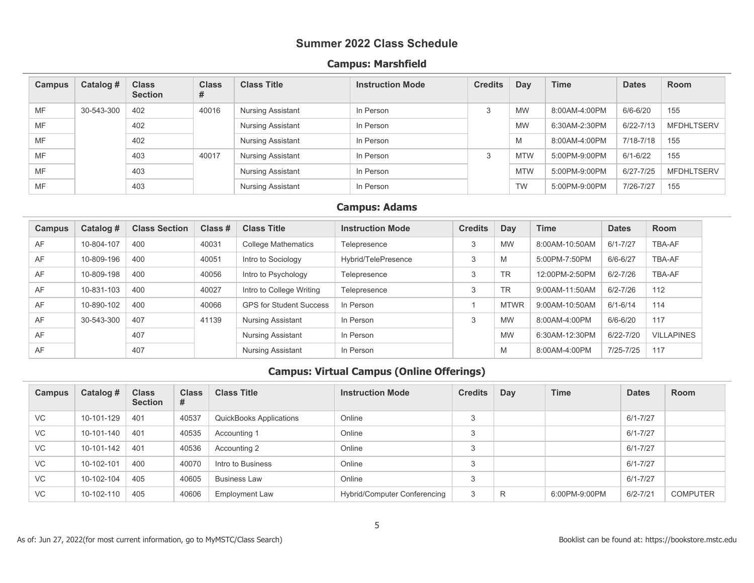#### **Campus: Marshfield**

| Campus    | Catalog #  | <b>Class</b><br><b>Section</b> | <b>Class</b><br># | <b>Class Title</b>       | <b>Instruction Mode</b> | <b>Credits</b> | Day        | <b>Time</b>   | <b>Dates</b> | <b>Room</b>       |
|-----------|------------|--------------------------------|-------------------|--------------------------|-------------------------|----------------|------------|---------------|--------------|-------------------|
| MF        | 30-543-300 | 402                            | 40016             | Nursing Assistant        | In Person               | 3              | <b>MW</b>  | 8:00AM-4:00PM | 6/6-6/20     | 155               |
| MF        |            | 402                            |                   | <b>Nursing Assistant</b> | In Person               |                | <b>MW</b>  | 6:30AM-2:30PM | 6/22-7/13    | <b>MFDHLTSERV</b> |
| MF        |            | 402                            |                   | Nursing Assistant        | In Person               |                | M          | 8:00AM-4:00PM | 7/18-7/18    | 155               |
| MF        |            | 403                            | 40017             | Nursing Assistant        | In Person               | 3              | <b>MTW</b> | 5:00PM-9:00PM | $6/1 - 6/22$ | 155               |
| <b>MF</b> |            | 403                            |                   | Nursing Assistant        | In Person               |                | <b>MTW</b> | 5:00PM-9:00PM | 6/27-7/25    | <b>MFDHLTSERV</b> |
| MF        |            | 403                            |                   | Nursing Assistant        | In Person               |                | <b>TW</b>  | 5:00PM-9:00PM | 7/26-7/27    | 155               |

#### **Campus: Adams**

<span id="page-4-0"></span>

| <b>Campus</b> | Catalog #  | <b>Class Section</b> | Class # | <b>Class Title</b>             | <b>Instruction Mode</b> | <b>Credits</b> | Day         | <b>Time</b>    | <b>Dates</b>  | Room              |
|---------------|------------|----------------------|---------|--------------------------------|-------------------------|----------------|-------------|----------------|---------------|-------------------|
| AF            | 10-804-107 | 400                  | 40031   | <b>College Mathematics</b>     | Telepresence            | 3              | <b>MW</b>   | 8:00AM-10:50AM | $6/1 - 7/27$  | TBA-AF            |
| AF            | 10-809-196 | 400                  | 40051   | Intro to Sociology             | Hybrid/TelePresence     | $\sim$         | M           | 5:00PM-7:50PM  | $6/6 - 6/27$  | TBA-AF            |
| AF            | 10-809-198 | 400                  | 40056   | Intro to Psychology            | Telepresence            | 3              | <b>TR</b>   | 12:00PM-2:50PM | $6/2 - 7/26$  | TBA-AF            |
| AF            | 10-831-103 | 400                  | 40027   | Intro to College Writing       | Telepresence            | 3              | <b>TR</b>   | 9:00AM-11:50AM | $6/2 - 7/26$  | 112               |
| AF            | 10-890-102 | 400                  | 40066   | <b>GPS for Student Success</b> | In Person               |                | <b>MTWR</b> | 9:00AM-10:50AM | $6/1 - 6/14$  | 114               |
| AF            | 30-543-300 | 407                  | 41139   | <b>Nursing Assistant</b>       | In Person               | $\mathcal{R}$  | <b>MW</b>   | 8:00AM-4:00PM  | $6/6 - 6/20$  | 117               |
| AF            |            | 407                  |         | <b>Nursing Assistant</b>       | In Person               |                | <b>MW</b>   | 6:30AM-12:30PM | $6/22 - 7/20$ | <b>VILLAPINES</b> |
| AF            |            | 407                  |         | <b>Nursing Assistant</b>       | In Person               |                | M           | 8:00AM-4:00PM  | 7/25-7/25     | 117               |

<span id="page-4-1"></span>

| Campus    | Catalog #  | <b>Class</b><br><b>Section</b> | <b>Class</b><br># | <b>Class Title</b>             | <b>Instruction Mode</b>             | <b>Credits</b> | Day | <b>Time</b>   | <b>Dates</b> | <b>Room</b>     |
|-----------|------------|--------------------------------|-------------------|--------------------------------|-------------------------------------|----------------|-----|---------------|--------------|-----------------|
| <b>VC</b> | 10-101-129 | 401                            | 40537             | <b>QuickBooks Applications</b> | Online                              | 3              |     |               | $6/1 - 7/27$ |                 |
| <b>VC</b> | 10-101-140 | 401                            | 40535             | Accounting 1                   | Online                              | 3              |     |               | $6/1 - 7/27$ |                 |
| VC        | 10-101-142 | 401                            | 40536             | Accounting 2                   | Online                              | 3              |     |               | $6/1 - 7/27$ |                 |
| <b>VC</b> | 10-102-101 | 400                            | 40070             | Intro to Business              | Online                              | 3              |     |               | $6/1 - 7/27$ |                 |
| VC        | 10-102-104 | 405                            | 40605             | <b>Business Law</b>            | Online                              | 3              |     |               | $6/1 - 7/27$ |                 |
| VC        | 10-102-110 | 405                            | 40606             | <b>Employment Law</b>          | <b>Hybrid/Computer Conferencing</b> | 3              | R   | 6:00PM-9:00PM | $6/2 - 7/21$ | <b>COMPUTER</b> |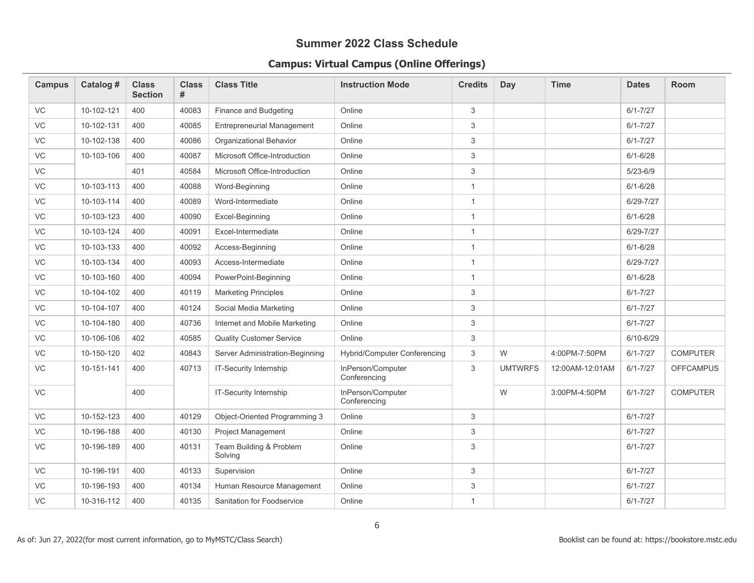| <b>Campus</b> | Catalog #  | <b>Class</b><br><b>Section</b> | <b>Class</b><br># | <b>Class Title</b>                 | <b>Instruction Mode</b>           | <b>Credits</b> | Day            | <b>Time</b>     | <b>Dates</b>  | <b>Room</b>      |
|---------------|------------|--------------------------------|-------------------|------------------------------------|-----------------------------------|----------------|----------------|-----------------|---------------|------------------|
| <b>VC</b>     | 10-102-121 | 400                            | 40083             | Finance and Budgeting              | Online                            | 3              |                |                 | $6/1 - 7/27$  |                  |
| VC            | 10-102-131 | 400                            | 40085             | <b>Entrepreneurial Management</b>  | Online                            | 3              |                |                 | $6/1 - 7/27$  |                  |
| VC            | 10-102-138 | 400                            | 40086             | Organizational Behavior            | Online                            | 3              |                |                 | $6/1 - 7/27$  |                  |
| VC            | 10-103-106 | 400                            | 40087             | Microsoft Office-Introduction      | Online                            | $\sqrt{3}$     |                |                 | $6/1 - 6/28$  |                  |
| VC            |            | 401                            | 40584             | Microsoft Office-Introduction      | Online                            | 3              |                |                 | $5/23 - 6/9$  |                  |
| VC            | 10-103-113 | 400                            | 40088             | Word-Beginning                     | Online                            | $\mathbf{1}$   |                |                 | $6/1 - 6/28$  |                  |
| VC            | 10-103-114 | 400                            | 40089             | Word-Intermediate                  | Online                            | $\mathbf{1}$   |                |                 | 6/29-7/27     |                  |
| VC            | 10-103-123 | 400                            | 40090             | Excel-Beginning                    | Online                            | $\overline{1}$ |                |                 | $6/1 - 6/28$  |                  |
| VC            | 10-103-124 | 400                            | 40091             | Excel-Intermediate                 | Online                            | $\mathbf{1}$   |                |                 | 6/29-7/27     |                  |
| VC            | 10-103-133 | 400                            | 40092             | Access-Beginning                   | Online                            | $\mathbf{1}$   |                |                 | $6/1 - 6/28$  |                  |
| VC            | 10-103-134 | 400                            | 40093             | Access-Intermediate                | Online                            | $\mathbf{1}$   |                |                 | 6/29-7/27     |                  |
| VC            | 10-103-160 | 400                            | 40094             | PowerPoint-Beginning               | Online                            | $\overline{1}$ |                |                 | $6/1 - 6/28$  |                  |
| VC            | 10-104-102 | 400                            | 40119             | <b>Marketing Principles</b>        | Online                            | 3              |                |                 | $6/1 - 7/27$  |                  |
| VC            | 10-104-107 | 400                            | 40124             | Social Media Marketing             | Online                            | 3              |                |                 | $6/1 - 7/27$  |                  |
| VC            | 10-104-180 | 400                            | 40736             | Internet and Mobile Marketing      | Online                            | $\sqrt{3}$     |                |                 | $6/1 - 7/27$  |                  |
| VC            | 10-106-106 | 402                            | 40585             | <b>Quality Customer Service</b>    | Online                            | 3              |                |                 | $6/10 - 6/29$ |                  |
| VC            | 10-150-120 | 402                            | 40843             | Server Administration-Beginning    | Hybrid/Computer Conferencing      | 3              | W              | 4:00PM-7:50PM   | $6/1 - 7/27$  | <b>COMPUTER</b>  |
| VC            | 10-151-141 | 400                            | 40713             | IT-Security Internship             | InPerson/Computer<br>Conferencing | 3              | <b>UMTWRFS</b> | 12:00AM-12:01AM | $6/1 - 7/27$  | <b>OFFCAMPUS</b> |
| VC            |            | 400                            |                   | IT-Security Internship             | InPerson/Computer<br>Conferencing |                | W              | 3:00PM-4:50PM   | $6/1 - 7/27$  | <b>COMPUTER</b>  |
| <b>VC</b>     | 10-152-123 | 400                            | 40129             | Object-Oriented Programming 3      | Online                            | 3              |                |                 | $6/1 - 7/27$  |                  |
| VC            | 10-196-188 | 400                            | 40130             | <b>Project Management</b>          | Online                            | 3              |                |                 | $6/1 - 7/27$  |                  |
| VC            | 10-196-189 | 400                            | 40131             | Team Building & Problem<br>Solving | Online                            | $\sqrt{3}$     |                |                 | $6/1 - 7/27$  |                  |
| VC            | 10-196-191 | 400                            | 40133             | Supervision                        | Online                            | $\sqrt{3}$     |                |                 | $6/1 - 7/27$  |                  |
| VC            | 10-196-193 | 400                            | 40134             | Human Resource Management          | Online                            | 3              |                |                 | $6/1 - 7/27$  |                  |
| VC            | 10-316-112 | 400                            | 40135             | <b>Sanitation for Foodservice</b>  | Online                            | $\overline{1}$ |                |                 | $6/1 - 7/27$  |                  |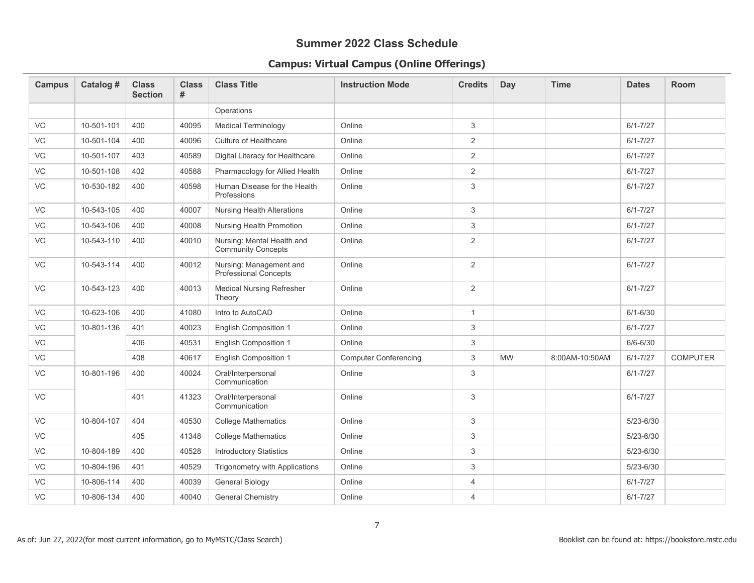| <b>Campus</b> | Catalog #  | <b>Class</b><br><b>Section</b> | <b>Class</b><br># | <b>Class Title</b>                                      | <b>Instruction Mode</b>      | <b>Credits</b> | <b>Day</b> | <b>Time</b>    | <b>Dates</b>  | <b>Room</b>     |
|---------------|------------|--------------------------------|-------------------|---------------------------------------------------------|------------------------------|----------------|------------|----------------|---------------|-----------------|
|               |            |                                |                   | Operations                                              |                              |                |            |                |               |                 |
| VC            | 10-501-101 | 400                            | 40095             | <b>Medical Terminology</b>                              | Online                       | 3              |            |                | $6/1 - 7/27$  |                 |
| <b>VC</b>     | 10-501-104 | 400                            | 40096             | Culture of Healthcare                                   | Online                       | 2              |            |                | $6/1 - 7/27$  |                 |
| VC            | 10-501-107 | 403                            | 40589             | Digital Literacy for Healthcare                         | Online                       | $\overline{2}$ |            |                | $6/1 - 7/27$  |                 |
| VC            | 10-501-108 | 402                            | 40588             | Pharmacology for Allied Health                          | Online                       | 2              |            |                | $6/1 - 7/27$  |                 |
| VC            | 10-530-182 | 400                            | 40598             | Human Disease for the Health<br>Professions             | Online                       | 3              |            |                | $6/1 - 7/27$  |                 |
| VC            | 10-543-105 | 400                            | 40007             | <b>Nursing Health Alterations</b>                       | Online                       | 3              |            |                | $6/1 - 7/27$  |                 |
| VC            | 10-543-106 | 400                            | 40008             | Nursing Health Promotion                                | Online                       | 3              |            |                | $6/1 - 7/27$  |                 |
| VC            | 10-543-110 | 400                            | 40010             | Nursing: Mental Health and<br><b>Community Concepts</b> | Online                       | 2              |            |                | $6/1 - 7/27$  |                 |
| VC            | 10-543-114 | 400                            | 40012             | Nursing: Management and<br>Professional Concepts        | Online                       | 2              |            |                | $6/1 - 7/27$  |                 |
| VC            | 10-543-123 | 400                            | 40013             | <b>Medical Nursing Refresher</b><br>Theory              | Online                       | $\overline{2}$ |            |                | $6/1 - 7/27$  |                 |
| VC            | 10-623-106 | 400                            | 41080             | Intro to AutoCAD                                        | Online                       | $\mathbf{1}$   |            |                | $6/1 - 6/30$  |                 |
| VC            | 10-801-136 | 401                            | 40023             | <b>English Composition 1</b>                            | Online                       | 3              |            |                | $6/1 - 7/27$  |                 |
| VC            |            | 406                            | 40531             | <b>English Composition 1</b>                            | Online                       | 3              |            |                | $6/6 - 6/30$  |                 |
| VC            |            | 408                            | 40617             | <b>English Composition 1</b>                            | <b>Computer Conferencing</b> | 3              | <b>MW</b>  | 8:00AM-10:50AM | $6/1 - 7/27$  | <b>COMPUTER</b> |
| <b>VC</b>     | 10-801-196 | 400                            | 40024             | Oral/Interpersonal<br>Communication                     | Online                       | 3              |            |                | $6/1 - 7/27$  |                 |
| VC            |            | 401                            | 41323             | Oral/Interpersonal<br>Communication                     | Online                       | $\sqrt{3}$     |            |                | $6/1 - 7/27$  |                 |
| VC            | 10-804-107 | 404                            | 40530             | <b>College Mathematics</b>                              | Online                       | 3              |            |                | $5/23 - 6/30$ |                 |
| VC            |            | 405                            | 41348             | <b>College Mathematics</b>                              | Online                       | 3              |            |                | $5/23 - 6/30$ |                 |
| VC            | 10-804-189 | 400                            | 40528             | <b>Introductory Statistics</b>                          | Online                       | 3              |            |                | $5/23 - 6/30$ |                 |
| VC            | 10-804-196 | 401                            | 40529             | Trigonometry with Applications                          | Online                       | $\sqrt{3}$     |            |                | $5/23 - 6/30$ |                 |
| VC            | 10-806-114 | 400                            | 40039             | <b>General Biology</b>                                  | Online                       | $\overline{4}$ |            |                | $6/1 - 7/27$  |                 |
| <b>VC</b>     | 10-806-134 | 400                            | 40040             | <b>General Chemistry</b>                                | Online                       | $\overline{4}$ |            |                | $6/1 - 7/27$  |                 |